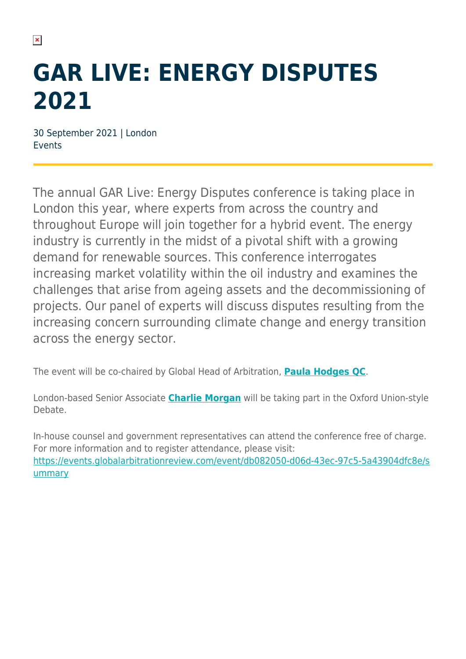## **GAR LIVE: ENERGY DISPUTES 2021**

30 September 2021 | London Events

The annual GAR Live: Energy Disputes conference is taking place in London this year, where experts from across the country and throughout Europe will join together for a hybrid event. The energy industry is currently in the midst of a pivotal shift with a growing demand for renewable sources. This conference interrogates increasing market volatility within the oil industry and examines the challenges that arise from ageing assets and the decommissioning of projects. Our panel of experts will discuss disputes resulting from the increasing concern surrounding climate change and energy transition across the energy sector.

The event will be co-chaired by Global Head of Arbitration, **[Paula Hodges QC](https://www.herbertsmithfreehills.com/our-people/paula-hodges-qc)**.

London-based Senior Associate **[Charlie Morgan](https://www.herbertsmithfreehills.com/our-people/charlie-morgan)** will be taking part in the Oxford Union-style Debate.

In-house counsel and government representatives can attend the conference free of charge. For more information and to register attendance, please visit: [https://events.globalarbitrationreview.com/event/db082050-d06d-43ec-97c5-5a43904dfc8e/s](https://events.globalarbitrationreview.com/event/db082050-d06d-43ec-97c5-5a43904dfc8e/summary) [ummary](https://events.globalarbitrationreview.com/event/db082050-d06d-43ec-97c5-5a43904dfc8e/summary)

 $\pmb{\times}$